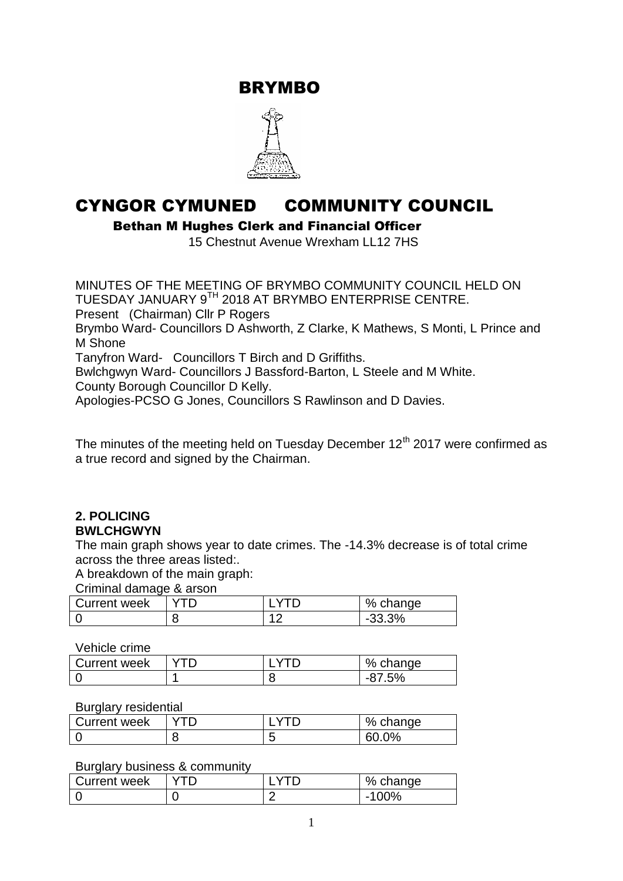BRYMBO



# CYNGOR CYMUNED COMMUNITY COUNCIL

Bethan M Hughes Clerk and Financial Officer

15 Chestnut Avenue Wrexham LL12 7HS

MINUTES OF THE MEETING OF BRYMBO COMMUNITY COUNCIL HELD ON TUESDAY JANUARY 9TH 2018 AT BRYMBO ENTERPRISE CENTRE. Present (Chairman) Cllr P Rogers Brymbo Ward- Councillors D Ashworth, Z Clarke, K Mathews, S Monti, L Prince and M Shone Tanyfron Ward- Councillors T Birch and D Griffiths. Bwlchgwyn Ward- Councillors J Bassford-Barton, L Steele and M White. County Borough Councillor D Kelly. Apologies-PCSO G Jones, Councillors S Rawlinson and D Davies.

The minutes of the meeting held on Tuesday December  $12<sup>th</sup> 2017$  were confirmed as a true record and signed by the Chairman.

### **2. POLICING BWLCHGWYN**

The main graph shows year to date crimes. The -14.3% decrease is of total crime across the three areas listed:.

A breakdown of the main graph:

Criminal damage & arson

| <b>Current week</b> |  | % change       |
|---------------------|--|----------------|
|                     |  | 33.3%<br>. -ാാ |

Vehicle crime

| Current week |  | % .<br><u>ahande</u> |
|--------------|--|----------------------|
|              |  |                      |

### Burglary residential

| Current week |   | %<br>change |
|--------------|---|-------------|
|              | ີ | $2\%$<br>60 |

### Burglary business & community

| Current week |  | % change                        |
|--------------|--|---------------------------------|
|              |  | ገባ%<br>$\overline{\phantom{0}}$ |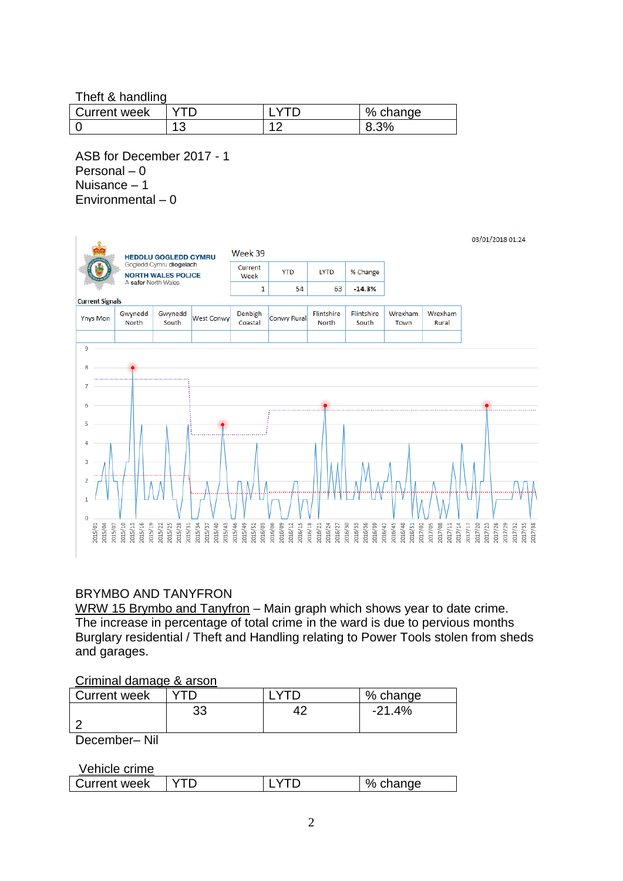Theft & handling

| <b>Current week</b> |  | %<br>change |
|---------------------|--|-------------|
|                     |  |             |

ASB for December 2017 - 1 Personal – 0 Nuisance – 1 Environmental – 0



# BRYMBO AND TANYFRON

WRW 15 Brymbo and Tanyfron - Main graph which shows year to date crime. The increase in percentage of total crime in the ward is due to pervious months Burglary residential / Theft and Handling relating to Power Tools stolen from sheds and garages.

### Criminal damage & arson

| Current week |    | % change |
|--------------|----|----------|
|              | 33 | -21.4%   |
|              |    |          |
| .<br>$\sim$  |    |          |

December– Nil

Vehicle crime

| .            |  |        |
|--------------|--|--------|
| Current week |  | change |
|              |  |        |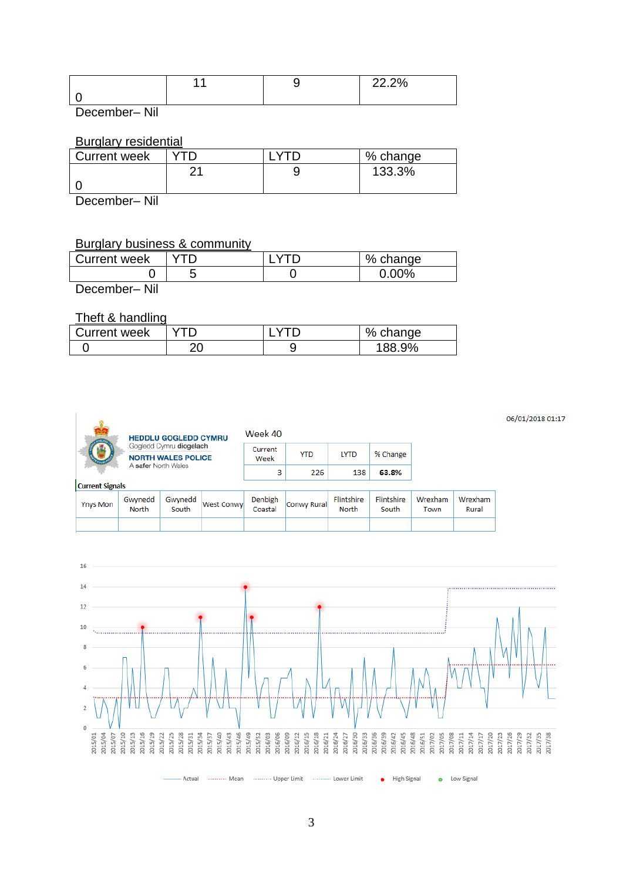| . . | יספ פפ<br>LL. L 70 |
|-----|--------------------|
|     |                    |

December– Nil

#### Burglary residential

| <b>Current week</b> |    | % change |
|---------------------|----|----------|
|                     | ົາ | 133.3%   |
|                     |    |          |
|                     |    |          |

December– Nil

### Burglary business & community

| <b>Current week</b> |  | % change |
|---------------------|--|----------|
|                     |  | $0.00\%$ |
| December-Nil        |  |          |

#### Theft & handling

| $11011$ $\alpha$ $11011$ $\alpha$ |  |  |            |
|-----------------------------------|--|--|------------|
| Current week                      |  |  | % change   |
|                                   |  |  | 9%<br>188. |





06/01/2018 01:17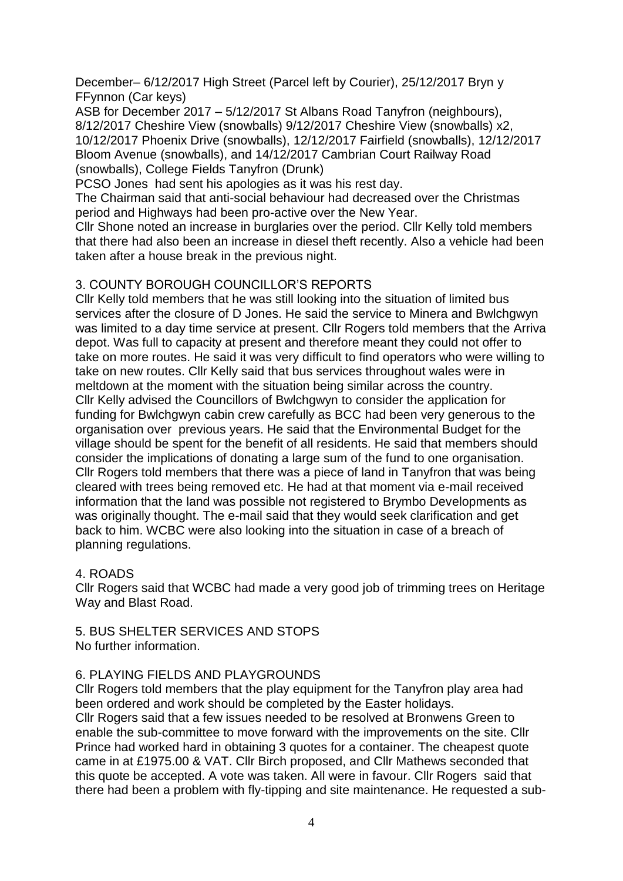December– 6/12/2017 High Street (Parcel left by Courier), 25/12/2017 Bryn y FFynnon (Car keys)

ASB for December 2017 – 5/12/2017 St Albans Road Tanyfron (neighbours), 8/12/2017 Cheshire View (snowballs) 9/12/2017 Cheshire View (snowballs) x2, 10/12/2017 Phoenix Drive (snowballs), 12/12/2017 Fairfield (snowballs), 12/12/2017 Bloom Avenue (snowballs), and 14/12/2017 Cambrian Court Railway Road (snowballs), College Fields Tanyfron (Drunk)

PCSO Jones had sent his apologies as it was his rest day.

The Chairman said that anti-social behaviour had decreased over the Christmas period and Highways had been pro-active over the New Year.

Cllr Shone noted an increase in burglaries over the period. Cllr Kelly told members that there had also been an increase in diesel theft recently. Also a vehicle had been taken after a house break in the previous night.

# 3. COUNTY BOROUGH COUNCILLOR'S REPORTS

Cllr Kelly told members that he was still looking into the situation of limited bus services after the closure of D Jones. He said the service to Minera and Bwlchgwyn was limited to a day time service at present. Cllr Rogers told members that the Arriva depot. Was full to capacity at present and therefore meant they could not offer to take on more routes. He said it was very difficult to find operators who were willing to take on new routes. Cllr Kelly said that bus services throughout wales were in meltdown at the moment with the situation being similar across the country. Cllr Kelly advised the Councillors of Bwlchgwyn to consider the application for funding for Bwlchgwyn cabin crew carefully as BCC had been very generous to the organisation over previous years. He said that the Environmental Budget for the village should be spent for the benefit of all residents. He said that members should consider the implications of donating a large sum of the fund to one organisation. Cllr Rogers told members that there was a piece of land in Tanyfron that was being cleared with trees being removed etc. He had at that moment via e-mail received information that the land was possible not registered to Brymbo Developments as was originally thought. The e-mail said that they would seek clarification and get back to him. WCBC were also looking into the situation in case of a breach of planning regulations.

# 4. ROADS

Cllr Rogers said that WCBC had made a very good job of trimming trees on Heritage Way and Blast Road.

5. BUS SHELTER SERVICES AND STOPS No further information.

# 6. PLAYING FIELDS AND PLAYGROUNDS

Cllr Rogers told members that the play equipment for the Tanyfron play area had been ordered and work should be completed by the Easter holidays. Cllr Rogers said that a few issues needed to be resolved at Bronwens Green to enable the sub-committee to move forward with the improvements on the site. Cllr Prince had worked hard in obtaining 3 quotes for a container. The cheapest quote came in at £1975.00 & VAT. Cllr Birch proposed, and Cllr Mathews seconded that this quote be accepted. A vote was taken. All were in favour. Cllr Rogers said that there had been a problem with fly-tipping and site maintenance. He requested a sub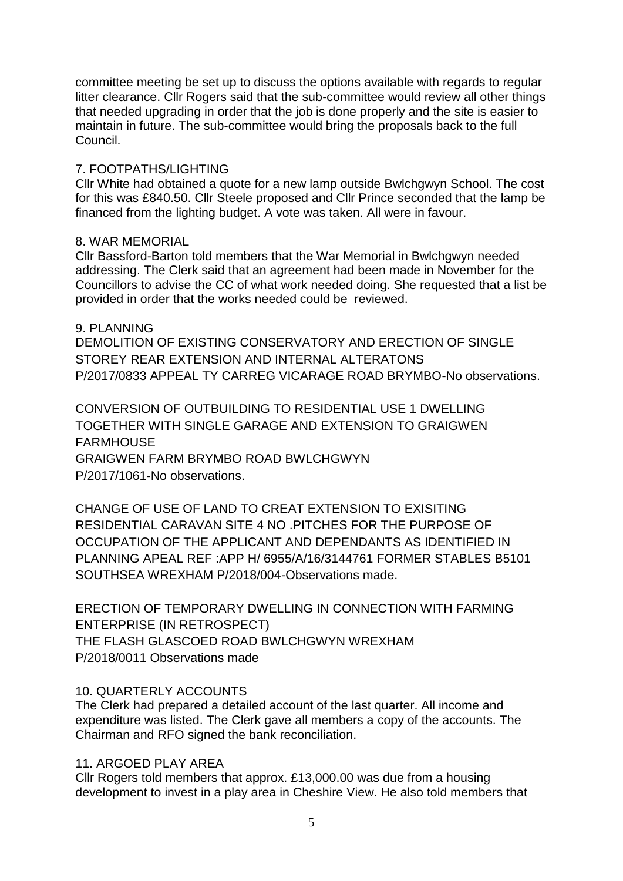committee meeting be set up to discuss the options available with regards to regular litter clearance. Cllr Rogers said that the sub-committee would review all other things that needed upgrading in order that the job is done properly and the site is easier to maintain in future. The sub-committee would bring the proposals back to the full Council.

### 7. FOOTPATHS/LIGHTING

Cllr White had obtained a quote for a new lamp outside Bwlchgwyn School. The cost for this was £840.50. Cllr Steele proposed and Cllr Prince seconded that the lamp be financed from the lighting budget. A vote was taken. All were in favour.

### 8. WAR MEMORIAL

Cllr Bassford-Barton told members that the War Memorial in Bwlchgwyn needed addressing. The Clerk said that an agreement had been made in November for the Councillors to advise the CC of what work needed doing. She requested that a list be provided in order that the works needed could be reviewed.

9. PLANNING DEMOLITION OF EXISTING CONSERVATORY AND ERECTION OF SINGLE STOREY REAR EXTENSION AND INTERNAL ALTERATONS P/2017/0833 APPEAL TY CARREG VICARAGE ROAD BRYMBO-No observations.

CONVERSION OF OUTBUILDING TO RESIDENTIAL USE 1 DWELLING TOGETHER WITH SINGLE GARAGE AND EXTENSION TO GRAIGWEN **FARMHOUSE** GRAIGWEN FARM BRYMBO ROAD BWLCHGWYN P/2017/1061-No observations.

CHANGE OF USE OF LAND TO CREAT EXTENSION TO EXISITING RESIDENTIAL CARAVAN SITE 4 NO .PITCHES FOR THE PURPOSE OF OCCUPATION OF THE APPLICANT AND DEPENDANTS AS IDENTIFIED IN PLANNING APEAL REF :APP H/ 6955/A/16/3144761 FORMER STABLES B5101 SOUTHSEA WREXHAM P/2018/004-Observations made.

ERECTION OF TEMPORARY DWELLING IN CONNECTION WITH FARMING ENTERPRISE (IN RETROSPECT) THE FLASH GLASCOED ROAD BWLCHGWYN WREXHAM P/2018/0011 Observations made

# 10. QUARTERLY ACCOUNTS

The Clerk had prepared a detailed account of the last quarter. All income and expenditure was listed. The Clerk gave all members a copy of the accounts. The Chairman and RFO signed the bank reconciliation.

# 11. ARGOED PLAY AREA

Cllr Rogers told members that approx. £13,000.00 was due from a housing development to invest in a play area in Cheshire View. He also told members that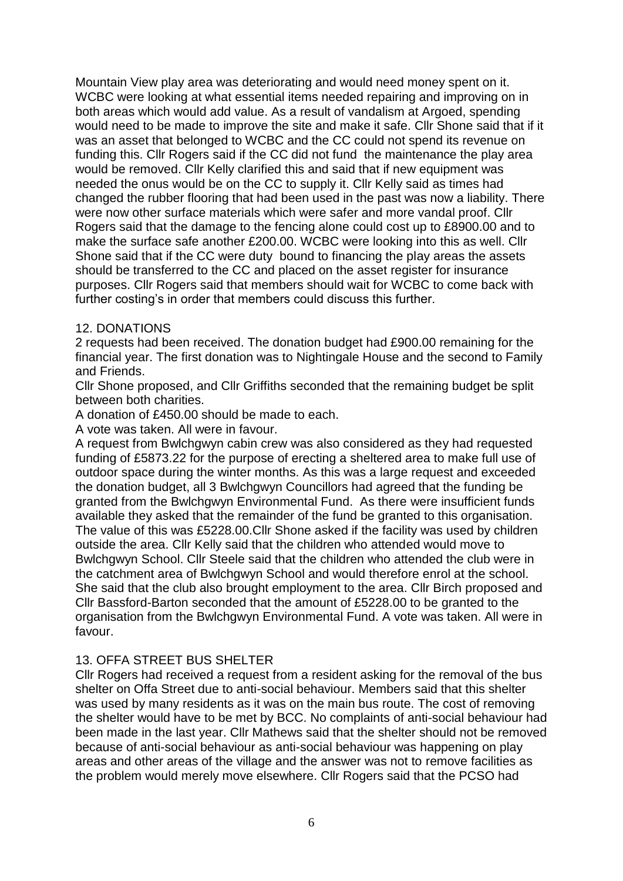Mountain View play area was deteriorating and would need money spent on it. WCBC were looking at what essential items needed repairing and improving on in both areas which would add value. As a result of vandalism at Argoed, spending would need to be made to improve the site and make it safe. Cllr Shone said that if it was an asset that belonged to WCBC and the CC could not spend its revenue on funding this. Cllr Rogers said if the CC did not fund the maintenance the play area would be removed. Cllr Kelly clarified this and said that if new equipment was needed the onus would be on the CC to supply it. Cllr Kelly said as times had changed the rubber flooring that had been used in the past was now a liability. There were now other surface materials which were safer and more vandal proof. Cllr Rogers said that the damage to the fencing alone could cost up to £8900.00 and to make the surface safe another £200.00. WCBC were looking into this as well. Cllr Shone said that if the CC were duty bound to financing the play areas the assets should be transferred to the CC and placed on the asset register for insurance purposes. Cllr Rogers said that members should wait for WCBC to come back with further costing's in order that members could discuss this further.

# 12. DONATIONS

2 requests had been received. The donation budget had £900.00 remaining for the financial year. The first donation was to Nightingale House and the second to Family and Friends.

Cllr Shone proposed, and Cllr Griffiths seconded that the remaining budget be split between both charities.

A donation of £450.00 should be made to each.

A vote was taken. All were in favour.

A request from Bwlchgwyn cabin crew was also considered as they had requested funding of £5873.22 for the purpose of erecting a sheltered area to make full use of outdoor space during the winter months. As this was a large request and exceeded the donation budget, all 3 Bwlchgwyn Councillors had agreed that the funding be granted from the Bwlchgwyn Environmental Fund. As there were insufficient funds available they asked that the remainder of the fund be granted to this organisation. The value of this was £5228.00.Cllr Shone asked if the facility was used by children outside the area. Cllr Kelly said that the children who attended would move to Bwlchgwyn School. Cllr Steele said that the children who attended the club were in the catchment area of Bwlchgwyn School and would therefore enrol at the school. She said that the club also brought employment to the area. Cllr Birch proposed and Cllr Bassford-Barton seconded that the amount of £5228.00 to be granted to the organisation from the Bwlchgwyn Environmental Fund. A vote was taken. All were in favour.

# 13. OFFA STREET BUS SHELTER

Cllr Rogers had received a request from a resident asking for the removal of the bus shelter on Offa Street due to anti-social behaviour. Members said that this shelter was used by many residents as it was on the main bus route. The cost of removing the shelter would have to be met by BCC. No complaints of anti-social behaviour had been made in the last year. Cllr Mathews said that the shelter should not be removed because of anti-social behaviour as anti-social behaviour was happening on play areas and other areas of the village and the answer was not to remove facilities as the problem would merely move elsewhere. Cllr Rogers said that the PCSO had